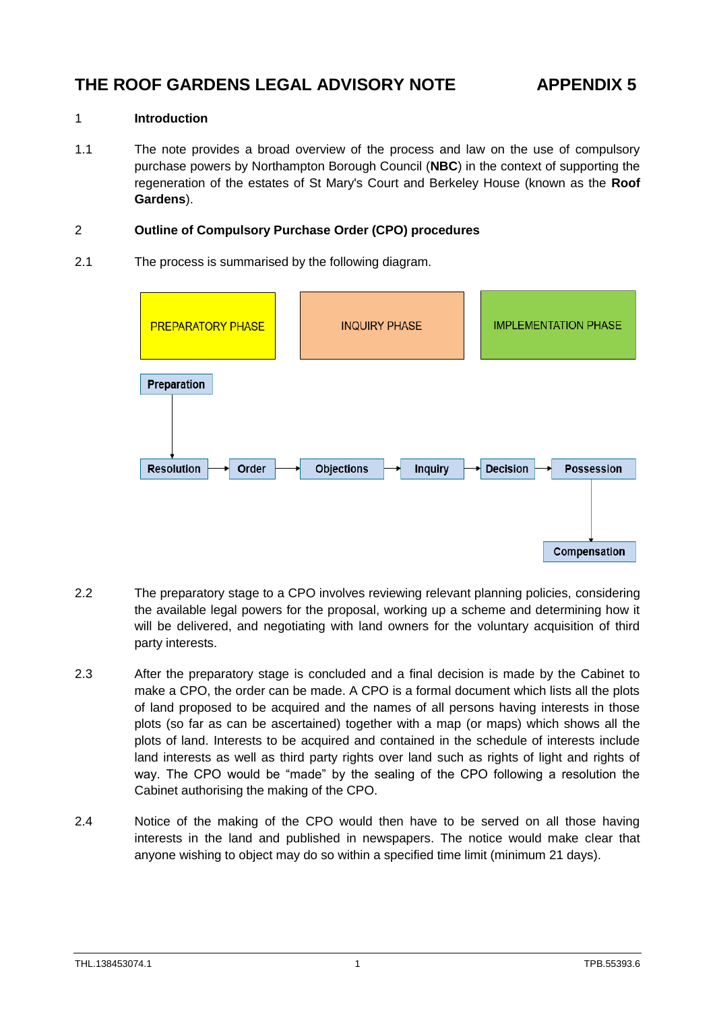# **THE ROOF GARDENS LEGAL ADVISORY NOTE APPENDIX 5**

### 1 **Introduction**

1.1 The note provides a broad overview of the process and law on the use of compulsory purchase powers by Northampton Borough Council (**NBC**) in the context of supporting the regeneration of the estates of St Mary's Court and Berkeley House (known as the **Roof Gardens**).

### 2 **Outline of Compulsory Purchase Order (CPO) procedures**

2.1 The process is summarised by the following diagram.



- 2.2 The preparatory stage to a CPO involves reviewing relevant planning policies, considering the available legal powers for the proposal, working up a scheme and determining how it will be delivered, and negotiating with land owners for the voluntary acquisition of third party interests.
- 2.3 After the preparatory stage is concluded and a final decision is made by the Cabinet to make a CPO, the order can be made. A CPO is a formal document which lists all the plots of land proposed to be acquired and the names of all persons having interests in those plots (so far as can be ascertained) together with a map (or maps) which shows all the plots of land. Interests to be acquired and contained in the schedule of interests include land interests as well as third party rights over land such as rights of light and rights of way. The CPO would be "made" by the sealing of the CPO following a resolution the Cabinet authorising the making of the CPO.
- 2.4 Notice of the making of the CPO would then have to be served on all those having interests in the land and published in newspapers. The notice would make clear that anyone wishing to object may do so within a specified time limit (minimum 21 days).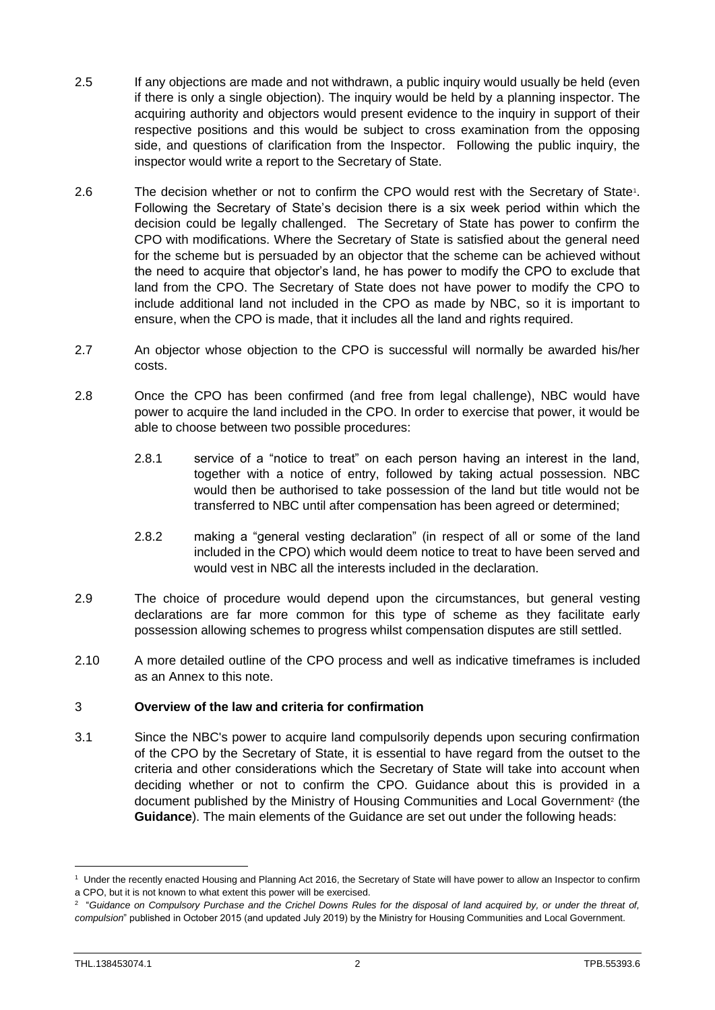- 2.5 If any objections are made and not withdrawn, a public inquiry would usually be held (even if there is only a single objection). The inquiry would be held by a planning inspector. The acquiring authority and objectors would present evidence to the inquiry in support of their respective positions and this would be subject to cross examination from the opposing side, and questions of clarification from the Inspector. Following the public inquiry, the inspector would write a report to the Secretary of State.
- 2.6 The decision whether or not to confirm the CPO would rest with the Secretary of State<sup>1</sup>. Following the Secretary of State's decision there is a six week period within which the decision could be legally challenged. The Secretary of State has power to confirm the CPO with modifications. Where the Secretary of State is satisfied about the general need for the scheme but is persuaded by an objector that the scheme can be achieved without the need to acquire that objector's land, he has power to modify the CPO to exclude that land from the CPO. The Secretary of State does not have power to modify the CPO to include additional land not included in the CPO as made by NBC, so it is important to ensure, when the CPO is made, that it includes all the land and rights required.
- 2.7 An objector whose objection to the CPO is successful will normally be awarded his/her costs.
- 2.8 Once the CPO has been confirmed (and free from legal challenge), NBC would have power to acquire the land included in the CPO. In order to exercise that power, it would be able to choose between two possible procedures:
	- 2.8.1 service of a "notice to treat" on each person having an interest in the land, together with a notice of entry, followed by taking actual possession. NBC would then be authorised to take possession of the land but title would not be transferred to NBC until after compensation has been agreed or determined;
	- 2.8.2 making a "general vesting declaration" (in respect of all or some of the land included in the CPO) which would deem notice to treat to have been served and would vest in NBC all the interests included in the declaration.
- 2.9 The choice of procedure would depend upon the circumstances, but general vesting declarations are far more common for this type of scheme as they facilitate early possession allowing schemes to progress whilst compensation disputes are still settled.
- 2.10 A more detailed outline of the CPO process and well as indicative timeframes is included as an Annex to this note.

#### 3 **Overview of the law and criteria for confirmation**

3.1 Since the NBC's power to acquire land compulsorily depends upon securing confirmation of the CPO by the Secretary of State, it is essential to have regard from the outset to the criteria and other considerations which the Secretary of State will take into account when deciding whether or not to confirm the CPO. Guidance about this is provided in a document published by the Ministry of Housing Communities and Local Government<sup>2</sup> (the **Guidance**). The main elements of the Guidance are set out under the following heads:

 $\overline{a}$ 

<sup>&</sup>lt;sup>1</sup> Under the recently enacted Housing and Planning Act 2016, the Secretary of State will have power to allow an Inspector to confirm a CPO, but it is not known to what extent this power will be exercised.

<sup>2</sup> "*Guidance on Compulsory Purchase and the Crichel Downs Rules for the disposal of land acquired by, or under the threat of, compulsion*" published in October 2015 (and updated July 2019) by the Ministry for Housing Communities and Local Government.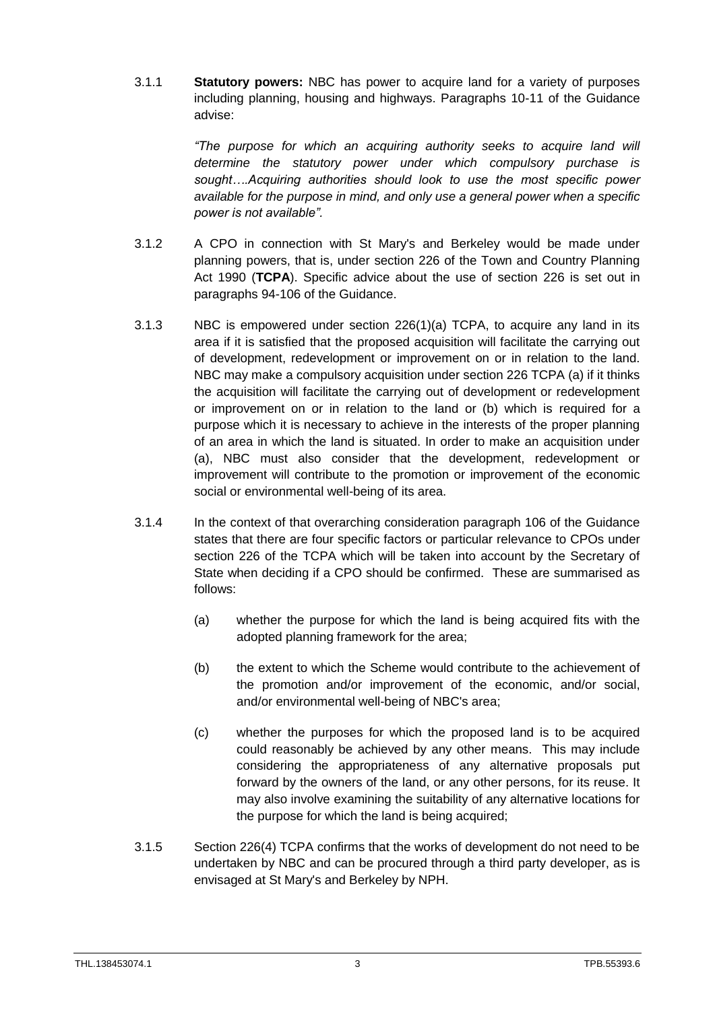3.1.1 **Statutory powers:** NBC has power to acquire land for a variety of purposes including planning, housing and highways. Paragraphs 10-11 of the Guidance advise:

> *"The purpose for which an acquiring authority seeks to acquire land will determine the statutory power under which compulsory purchase is sought….Acquiring authorities should look to use the most specific power available for the purpose in mind, and only use a general power when a specific power is not available".*

- 3.1.2 A CPO in connection with St Mary's and Berkeley would be made under planning powers, that is, under section 226 of the Town and Country Planning Act 1990 (**TCPA**). Specific advice about the use of section 226 is set out in paragraphs 94-106 of the Guidance.
- 3.1.3 NBC is empowered under section 226(1)(a) TCPA, to acquire any land in its area if it is satisfied that the proposed acquisition will facilitate the carrying out of development, redevelopment or improvement on or in relation to the land. NBC may make a compulsory acquisition under section 226 TCPA (a) if it thinks the acquisition will facilitate the carrying out of development or redevelopment or improvement on or in relation to the land or (b) which is required for a purpose which it is necessary to achieve in the interests of the proper planning of an area in which the land is situated. In order to make an acquisition under (a), NBC must also consider that the development, redevelopment or improvement will contribute to the promotion or improvement of the economic social or environmental well-being of its area.
- 3.1.4 In the context of that overarching consideration paragraph 106 of the Guidance states that there are four specific factors or particular relevance to CPOs under section 226 of the TCPA which will be taken into account by the Secretary of State when deciding if a CPO should be confirmed. These are summarised as follows:
	- (a) whether the purpose for which the land is being acquired fits with the adopted planning framework for the area;
	- (b) the extent to which the Scheme would contribute to the achievement of the promotion and/or improvement of the economic, and/or social, and/or environmental well-being of NBC's area;
	- (c) whether the purposes for which the proposed land is to be acquired could reasonably be achieved by any other means. This may include considering the appropriateness of any alternative proposals put forward by the owners of the land, or any other persons, for its reuse. It may also involve examining the suitability of any alternative locations for the purpose for which the land is being acquired;
- 3.1.5 Section 226(4) TCPA confirms that the works of development do not need to be undertaken by NBC and can be procured through a third party developer, as is envisaged at St Mary's and Berkeley by NPH.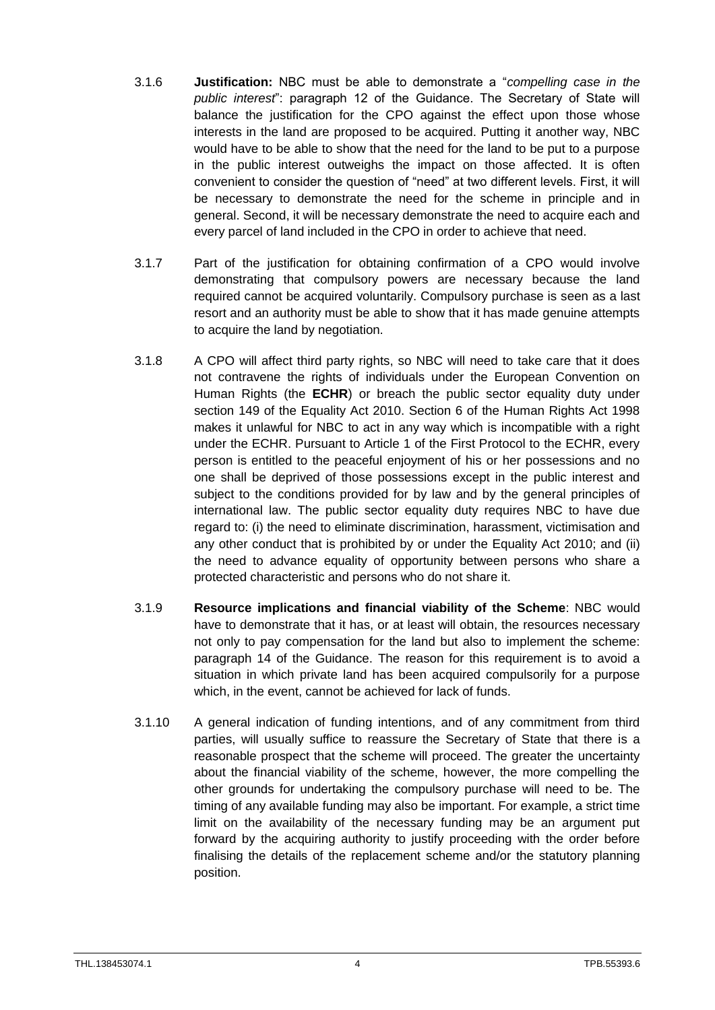- 3.1.6 **Justification:** NBC must be able to demonstrate a "*compelling case in the public interest*": paragraph 12 of the Guidance. The Secretary of State will balance the justification for the CPO against the effect upon those whose interests in the land are proposed to be acquired. Putting it another way, NBC would have to be able to show that the need for the land to be put to a purpose in the public interest outweighs the impact on those affected. It is often convenient to consider the question of "need" at two different levels. First, it will be necessary to demonstrate the need for the scheme in principle and in general. Second, it will be necessary demonstrate the need to acquire each and every parcel of land included in the CPO in order to achieve that need.
- 3.1.7 Part of the justification for obtaining confirmation of a CPO would involve demonstrating that compulsory powers are necessary because the land required cannot be acquired voluntarily. Compulsory purchase is seen as a last resort and an authority must be able to show that it has made genuine attempts to acquire the land by negotiation.
- 3.1.8 A CPO will affect third party rights, so NBC will need to take care that it does not contravene the rights of individuals under the European Convention on Human Rights (the **ECHR**) or breach the public sector equality duty under section 149 of the Equality Act 2010. Section 6 of the Human Rights Act 1998 makes it unlawful for NBC to act in any way which is incompatible with a right under the ECHR. Pursuant to Article 1 of the First Protocol to the ECHR, every person is entitled to the peaceful enjoyment of his or her possessions and no one shall be deprived of those possessions except in the public interest and subject to the conditions provided for by law and by the general principles of international law. The public sector equality duty requires NBC to have due regard to: (i) the need to eliminate discrimination, harassment, victimisation and any other conduct that is prohibited by or under the Equality Act 2010; and (ii) the need to advance equality of opportunity between persons who share a protected characteristic and persons who do not share it.
- 3.1.9 **Resource implications and financial viability of the Scheme**: NBC would have to demonstrate that it has, or at least will obtain, the resources necessary not only to pay compensation for the land but also to implement the scheme: paragraph 14 of the Guidance. The reason for this requirement is to avoid a situation in which private land has been acquired compulsorily for a purpose which, in the event, cannot be achieved for lack of funds.
- 3.1.10 A general indication of funding intentions, and of any commitment from third parties, will usually suffice to reassure the Secretary of State that there is a reasonable prospect that the scheme will proceed. The greater the uncertainty about the financial viability of the scheme, however, the more compelling the other grounds for undertaking the compulsory purchase will need to be. The timing of any available funding may also be important. For example, a strict time limit on the availability of the necessary funding may be an argument put forward by the acquiring authority to justify proceeding with the order before finalising the details of the replacement scheme and/or the statutory planning position.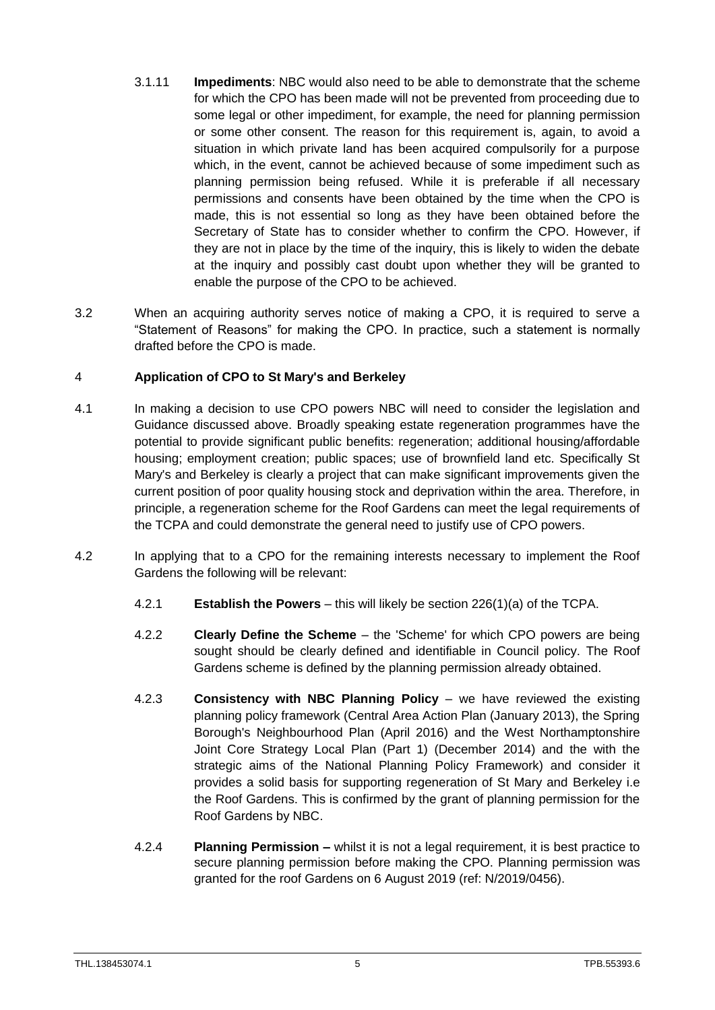- 3.1.11 **Impediments**: NBC would also need to be able to demonstrate that the scheme for which the CPO has been made will not be prevented from proceeding due to some legal or other impediment, for example, the need for planning permission or some other consent. The reason for this requirement is, again, to avoid a situation in which private land has been acquired compulsorily for a purpose which, in the event, cannot be achieved because of some impediment such as planning permission being refused. While it is preferable if all necessary permissions and consents have been obtained by the time when the CPO is made, this is not essential so long as they have been obtained before the Secretary of State has to consider whether to confirm the CPO. However, if they are not in place by the time of the inquiry, this is likely to widen the debate at the inquiry and possibly cast doubt upon whether they will be granted to enable the purpose of the CPO to be achieved.
- 3.2 When an acquiring authority serves notice of making a CPO, it is required to serve a "Statement of Reasons" for making the CPO. In practice, such a statement is normally drafted before the CPO is made.

## 4 **Application of CPO to St Mary's and Berkeley**

- 4.1 In making a decision to use CPO powers NBC will need to consider the legislation and Guidance discussed above. Broadly speaking estate regeneration programmes have the potential to provide significant public benefits: regeneration; additional housing/affordable housing; employment creation; public spaces; use of brownfield land etc. Specifically St Mary's and Berkeley is clearly a project that can make significant improvements given the current position of poor quality housing stock and deprivation within the area. Therefore, in principle, a regeneration scheme for the Roof Gardens can meet the legal requirements of the TCPA and could demonstrate the general need to justify use of CPO powers.
- 4.2 In applying that to a CPO for the remaining interests necessary to implement the Roof Gardens the following will be relevant:
	- 4.2.1 **Establish the Powers** this will likely be section 226(1)(a) of the TCPA.
	- 4.2.2 **Clearly Define the Scheme** the 'Scheme' for which CPO powers are being sought should be clearly defined and identifiable in Council policy. The Roof Gardens scheme is defined by the planning permission already obtained.
	- 4.2.3 **Consistency with NBC Planning Policy**  we have reviewed the existing planning policy framework (Central Area Action Plan (January 2013), the Spring Borough's Neighbourhood Plan (April 2016) and the West Northamptonshire Joint Core Strategy Local Plan (Part 1) (December 2014) and the with the strategic aims of the National Planning Policy Framework) and consider it provides a solid basis for supporting regeneration of St Mary and Berkeley i.e the Roof Gardens. This is confirmed by the grant of planning permission for the Roof Gardens by NBC.
	- 4.2.4 **Planning Permission –** whilst it is not a legal requirement, it is best practice to secure planning permission before making the CPO. Planning permission was granted for the roof Gardens on 6 August 2019 (ref: N/2019/0456).